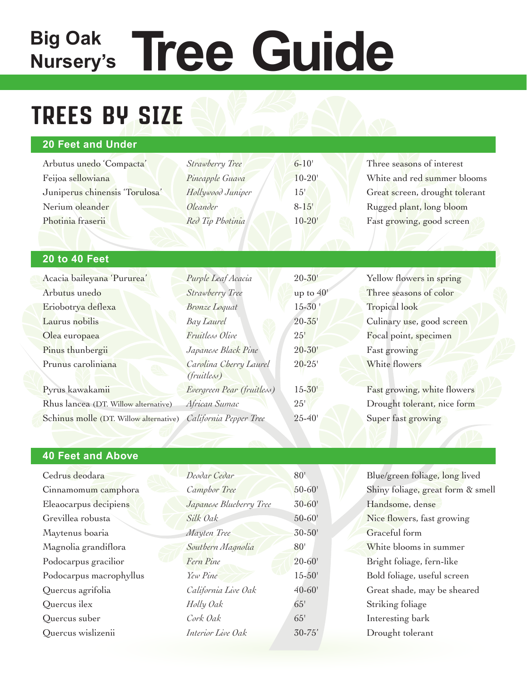# Big Oak **Tree Guide Nursery's**

## Trees by size

### **20 Feet and Under**

Arbutus unedo 'Compacta' *Strawberry Tree* 6-10' Three seasons of interest Juniperus chinensis 'Torulosa' *Hollywood Juniper* 15' Great screen, drought tolerant Nerium oleander *Oleander Oleander* 8-15' Rugged plant, long bloom Photinia fraserii *Red Tip Photinia* 10-20' Fast growing, good screen

Feijoa sellowiana *Pineapple Guava* 10-20' White and red summer blooms

#### **20 to 40 Feet**

| Acacia baileyana 'Pururea'             | Purple Leaf Acacia                           | $20 - 30'$  | Yellow flowers in spring    |
|----------------------------------------|----------------------------------------------|-------------|-----------------------------|
| Arbutus unedo                          | Strawberry Tree                              | up to $40'$ | Three seasons of color      |
| Eriobotrya deflexa                     | <b>Bronze</b> Loquat                         | $15 - 30$   | Tropical look               |
| Laurus nobilis                         | <b>Bay Laurel</b>                            | $20 - 35'$  | Culinary use, good screen   |
| Olea europaea                          | Fruitless Olive                              | 25'         | Focal point, specimen       |
| Pinus thunbergii                       | Japanese Black Pine                          | $20 - 30'$  | Fast growing                |
| Prunus caroliniana                     | Carolina Cherry Laurel<br><i>(fruitless)</i> | $20 - 25'$  | White flowers               |
| Pyrus kawakamii                        | Evergreen Pear (fruitless)                   | $15 - 30'$  | Fast growing, white flowers |
| Rhus lancea (DT. Willow alternative)   | African Sumac                                | 25'         | Drought tolerant, nice form |
| Schinus molle (DT. Willow alternative) | California Pepper Tree                       | $25 - 40'$  | Super fast growing          |

#### **40 Feet and Above**

| Cedrus deodara          | Deodar Cedar            | 80 <sup>1</sup> | Blue/green foliage, long lived    |
|-------------------------|-------------------------|-----------------|-----------------------------------|
| Cinnamomum camphora     | Camphor Tree            | $50 - 60'$      | Shiny foliage, great form & smell |
| Eleaocarpus decipiens   | Japanese Blueberry Tree | $30 - 60'$      | Handsome, dense                   |
| Grevillea robusta       | Silk Oak                | $50 - 60'$      | Nice flowers, fast growing        |
| Maytenus boaria         | Mayten Tree             | $30 - 50'$      | Graceful form                     |
| Magnolia grandiflora    | Southern Magnolia       | 80'             | White blooms in summer            |
| Podocarpus gracilior    | Fern Pine               | $20 - 60'$      | Bright foliage, fern-like         |
| Podocarpus macrophyllus | Yew Pine                | $15 - 50'$      | Bold foliage, useful screen       |
| Quercus agrifolia       | California Live Oak     | $40 - 60'$      | Great shade, may be sheared       |
| Quercus ilex            | Holly Oak               | 65'             | Striking foliage                  |
| Quercus suber           | Cork Oak                | 65'             | Interesting bark                  |
| Quercus wislizenii      | Interior Live Oak       | $30 - 75'$      | Drought tolerant                  |
|                         |                         |                 |                                   |